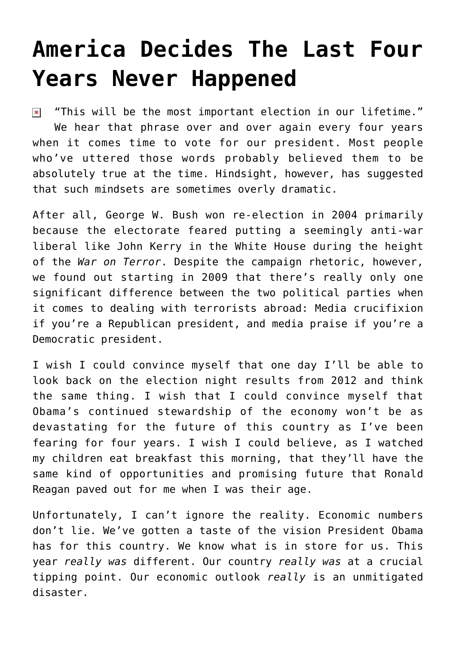## **[America Decides The Last Four](https://bernardgoldberg.com/america-decides-the-last-four-years-never-happened/) [Years Never Happened](https://bernardgoldberg.com/america-decides-the-last-four-years-never-happened/)**

"This will be the most important election in our lifetime."  $\pmb{\times}$ We hear that phrase over and over again every four years when it comes time to vote for our president. Most people who've uttered those words probably believed them to be absolutely true at the time. Hindsight, however, has suggested that such mindsets are sometimes overly dramatic.

After all, George W. Bush won re-election in 2004 primarily because the electorate feared putting a seemingly anti-war liberal like John Kerry in the White House during the height of the *War on Terror*. Despite the campaign rhetoric, however, we found out starting in 2009 that there's really only one significant difference between the two political parties when it comes to dealing with terrorists abroad: Media crucifixion if you're a Republican president, and media praise if you're a Democratic president.

I wish I could convince myself that one day I'll be able to look back on the election night results from 2012 and think the same thing. I wish that I could convince myself that Obama's continued stewardship of the economy won't be as devastating for the future of this country as I've been fearing for four years. I wish I could believe, as I watched my children eat breakfast this morning, that they'll have the same kind of opportunities and promising future that Ronald Reagan paved out for me when I was their age.

Unfortunately, I can't ignore the reality. Economic numbers don't lie. We've gotten a taste of the vision President Obama has for this country. We know what is in store for us. This year *really was* different. Our country *really was* at a crucial tipping point. Our economic outlook *really* is an unmitigated disaster.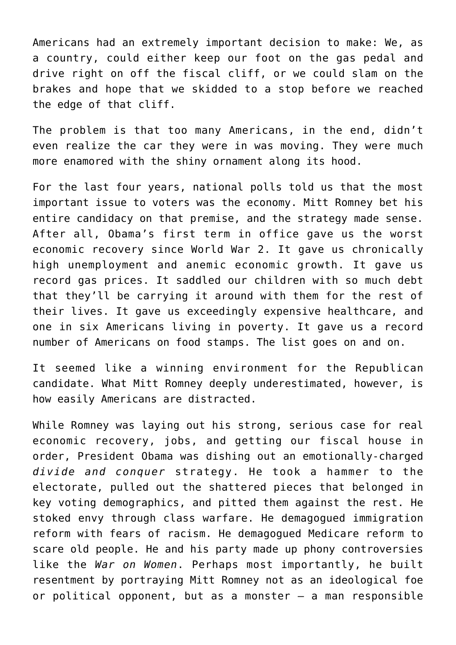Americans had an extremely important decision to make: We, as a country, could either keep our foot on the gas pedal and drive right on off the fiscal cliff, or we could slam on the brakes and hope that we skidded to a stop before we reached the edge of that cliff.

The problem is that too many Americans, in the end, didn't even realize the car they were in was moving. They were much more enamored with the shiny ornament along its hood.

For the last four years, national polls told us that the most important issue to voters was the economy. Mitt Romney bet his entire candidacy on that premise, and the strategy made sense. After all, Obama's first term in office gave us the worst economic recovery since World War 2. It gave us chronically high unemployment and anemic economic growth. It gave us record gas prices. It saddled our children with so much debt that they'll be carrying it around with them for the rest of their lives. It gave us exceedingly expensive healthcare, and one in six Americans living in poverty. It gave us a record number of Americans on food stamps. The list goes on and on.

It seemed like a winning environment for the Republican candidate. What Mitt Romney deeply underestimated, however, is how easily Americans are distracted.

While Romney was laying out his strong, serious case for real economic recovery, jobs, and getting our fiscal house in order, President Obama was dishing out an emotionally-charged *divide and conquer* strategy. He took a hammer to the electorate, pulled out the shattered pieces that belonged in key voting demographics, and pitted them against the rest. He stoked envy through class warfare. He demagogued immigration reform with fears of racism. He demagogued Medicare reform to scare old people. He and his party made up phony controversies like the *War on Women*. Perhaps most importantly, he built resentment by portraying Mitt Romney not as an ideological foe or political opponent, but as a monster – a man responsible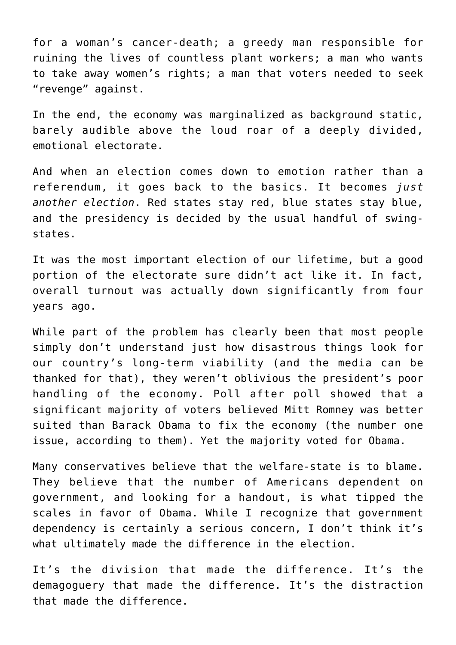for a woman's cancer-death; a greedy man responsible for ruining the lives of countless plant workers; a man who wants to take away women's rights; a man that voters needed to seek "revenge" against.

In the end, the economy was marginalized as background static, barely audible above the loud roar of a deeply divided, emotional electorate.

And when an election comes down to emotion rather than a referendum, it goes back to the basics. It becomes *just another election*. Red states stay red, blue states stay blue, and the presidency is decided by the usual handful of swingstates.

It was the most important election of our lifetime, but a good portion of the electorate sure didn't act like it. In fact, overall turnout was actually down significantly from four years ago.

While part of the problem has clearly been that most people simply don't understand just how disastrous things look for our country's long-term viability (and the media can be thanked for that), they weren't oblivious the president's poor handling of the economy. Poll after poll showed that a significant majority of voters believed Mitt Romney was better suited than Barack Obama to fix the economy (the number one issue, according to them). Yet the majority voted for Obama.

Many conservatives believe that the welfare-state is to blame. They believe that the number of Americans dependent on government, and looking for a handout, is what tipped the scales in favor of Obama. While I recognize that government dependency is certainly a serious concern, I don't think it's what ultimately made the difference in the election.

It's the division that made the difference. It's the demagoguery that made the difference. It's the distraction that made the difference.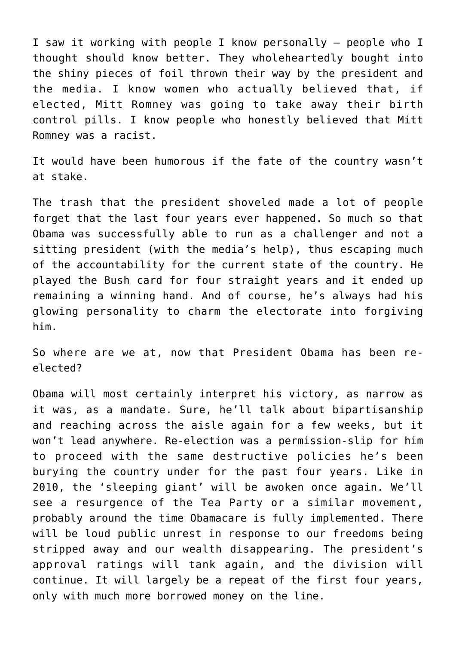I saw it working with people I know personally – people who I thought should know better. They wholeheartedly bought into the shiny pieces of foil thrown their way by the president and the media. I know women who actually believed that, if elected, Mitt Romney was going to take away their birth control pills. I know people who honestly believed that Mitt Romney was a racist.

It would have been humorous if the fate of the country wasn't at stake.

The trash that the president shoveled made a lot of people forget that the last four years ever happened. So much so that Obama was successfully able to run as a challenger and not a sitting president (with the media's help), thus escaping much of the accountability for the current state of the country. He played the Bush card for four straight years and it ended up remaining a winning hand. And of course, he's always had his glowing personality to charm the electorate into forgiving him.

So where are we at, now that President Obama has been reelected?

Obama will most certainly interpret his victory, as narrow as it was, as a mandate. Sure, he'll talk about bipartisanship and reaching across the aisle again for a few weeks, but it won't lead anywhere. Re-election was a permission-slip for him to proceed with the same destructive policies he's been burying the country under for the past four years. Like in 2010, the 'sleeping giant' will be awoken once again. We'll see a resurgence of the Tea Party or a similar movement, probably around the time Obamacare is fully implemented. There will be loud public unrest in response to our freedoms being stripped away and our wealth disappearing. The president's approval ratings will tank again, and the division will continue. It will largely be a repeat of the first four years, only with much more borrowed money on the line.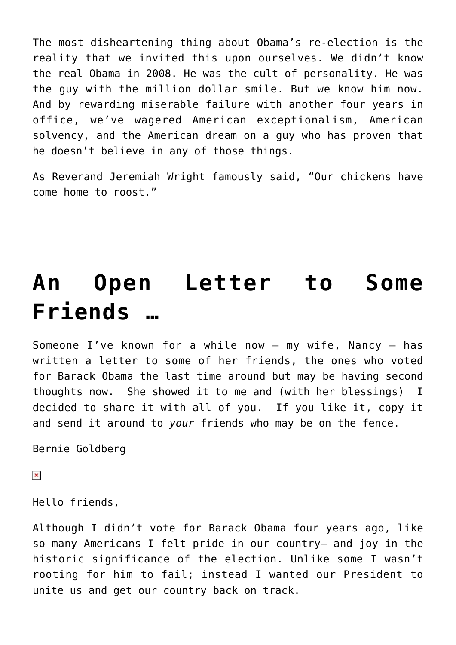The most disheartening thing about Obama's re-election is the reality that we invited this upon ourselves. We didn't know the real Obama in 2008. He was the cult of personality. He was the guy with the million dollar smile. But we know him now. And by rewarding miserable failure with another four years in office, we've wagered American exceptionalism, American solvency, and the American dream on a guy who has proven that he doesn't believe in any of those things.

As Reverand Jeremiah Wright famously said, "Our chickens have come home to roost."

## **[An Open Letter to Some](https://bernardgoldberg.com/an-open-letter-to-some-friends/) [Friends …](https://bernardgoldberg.com/an-open-letter-to-some-friends/)**

Someone I've known for a while now — my wife, Nancy — has written a letter to some of her friends, the ones who voted for Barack Obama the last time around but may be having second thoughts now. She showed it to me and (with her blessings) I decided to share it with all of you. If you like it, copy it and send it around to *your* friends who may be on the fence.

Bernie Goldberg

 $\pmb{\times}$ 

Hello friends,

Although I didn't vote for Barack Obama four years ago, like so many Americans I felt pride in our country– and joy in the historic significance of the election. Unlike some I wasn't rooting for him to fail; instead I wanted our President to unite us and get our country back on track.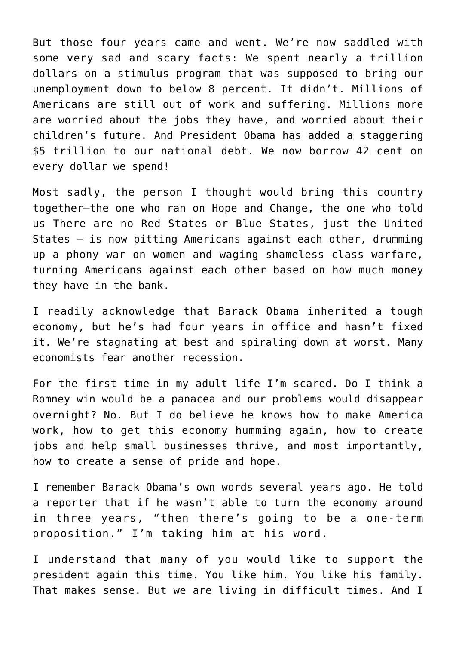But those four years came and went. We're now saddled with some very sad and scary facts: We spent nearly a trillion dollars on a stimulus program that was supposed to bring our unemployment down to below 8 percent. It didn't. Millions of Americans are still out of work and suffering. Millions more are worried about the jobs they have, and worried about their children's future. And President Obama has added a staggering \$5 trillion to our national debt. We now borrow 42 cent on every dollar we spend!

Most sadly, the person I thought would bring this country together–the one who ran on Hope and Change, the one who told us There are no Red States or Blue States, just the United States — is now pitting Americans against each other, drumming up a phony war on women and waging shameless class warfare, turning Americans against each other based on how much money they have in the bank.

I readily acknowledge that Barack Obama inherited a tough economy, but he's had four years in office and hasn't fixed it. We're stagnating at best and spiraling down at worst. Many economists fear another recession.

For the first time in my adult life I'm scared. Do I think a Romney win would be a panacea and our problems would disappear overnight? No. But I do believe he knows how to make America work, how to get this economy humming again, how to create jobs and help small businesses thrive, and most importantly, how to create a sense of pride and hope.

I remember Barack Obama's own words several years ago. He told a reporter that if he wasn't able to turn the economy around in three years, "then there's going to be a one-term proposition." I'm taking him at his word.

I understand that many of you would like to support the president again this time. You like him. You like his family. That makes sense. But we are living in difficult times. And I